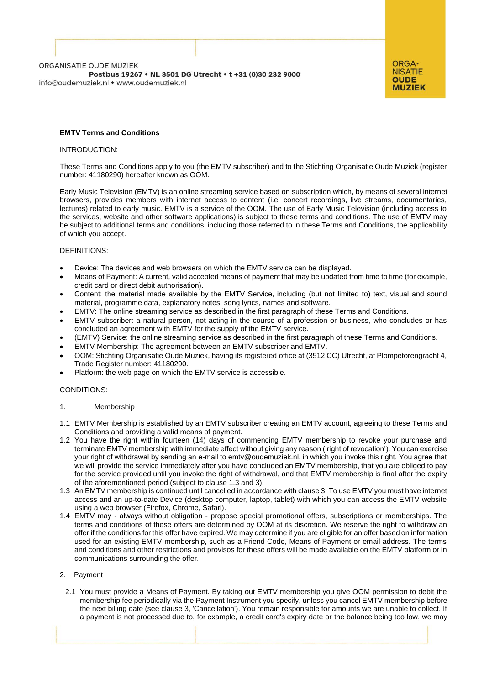

# **EMTV Terms and Conditions**

## INTRODUCTION:

These Terms and Conditions apply to you (the EMTV subscriber) and to the Stichting Organisatie Oude Muziek (register number: 41180290) hereafter known as OOM.

Early Music Television (EMTV) is an online streaming service based on subscription which, by means of several internet browsers, provides members with internet access to content (i.e. concert recordings, live streams, documentaries, lectures) related to early music. EMTV is a service of the OOM. The use of Early Music Television (including access to the services, website and other software applications) is subject to these terms and conditions. The use of EMTV may be subject to additional terms and conditions, including those referred to in these Terms and Conditions, the applicability of which you accept.

## DEFINITIONS:

- Device: The devices and web browsers on which the EMTV service can be displayed.
- Means of Payment: A current, valid accepted means of payment that may be updated from time to time (for example, credit card or direct debit authorisation).
- Content: the material made available by the EMTV Service, including (but not limited to) text, visual and sound material, programme data, explanatory notes, song lyrics, names and software.
- EMTV: The online streaming service as described in the first paragraph of these Terms and Conditions.
- EMTV subscriber: a natural person, not acting in the course of a profession or business, who concludes or has concluded an agreement with EMTV for the supply of the EMTV service.
- (EMTV) Service: the online streaming service as described in the first paragraph of these Terms and Conditions.
- EMTV Membership: The agreement between an EMTV subscriber and EMTV.
- OOM: Stichting Organisatie Oude Muziek, having its registered office at (3512 CC) Utrecht, at Plompetorengracht 4, Trade Register number: 41180290.
- Platform: the web page on which the EMTV service is accessible.

## CONDITIONS:

#### 1. Membership

- 1.1 EMTV Membership is established by an EMTV subscriber creating an EMTV account, agreeing to these Terms and Conditions and providing a valid means of payment.
- 1.2 You have the right within fourteen (14) days of commencing EMTV membership to revoke your purchase and terminate EMTV membership with immediate effect without giving any reason ('right of revocation'). You can exercise your right of withdrawal by sending an e-mail to emtv@oudemuziek.nl, in which you invoke this right. You agree that we will provide the service immediately after you have concluded an EMTV membership, that you are obliged to pay for the service provided until you invoke the right of withdrawal, and that EMTV membership is final after the expiry of the aforementioned period (subject to clause 1.3 and 3).
- 1.3 An EMTV membership is continued until cancelled in accordance with clause 3. To use EMTV you must have internet access and an up-to-date Device (desktop computer, laptop, tablet) with which you can access the EMTV website using a web browser (Firefox, Chrome, Safari).
- 1.4 EMTV may always without obligation propose special promotional offers, subscriptions or memberships. The terms and conditions of these offers are determined by OOM at its discretion. We reserve the right to withdraw an offer if the conditions for this offer have expired. We may determine if you are eligible for an offer based on information used for an existing EMTV membership, such as a Friend Code, Means of Payment or email address. The terms and conditions and other restrictions and provisos for these offers will be made available on the EMTV platform or in communications surrounding the offer.

#### 2. Payment

2.1 You must provide a Means of Payment. By taking out EMTV membership you give OOM permission to debit the membership fee periodically via the Payment Instrument you specify, unless you cancel EMTV membership before the next billing date (see clause 3, 'Cancellation'). You remain responsible for amounts we are unable to collect. If a payment is not processed due to, for example, a credit card's expiry date or the balance being too low, we may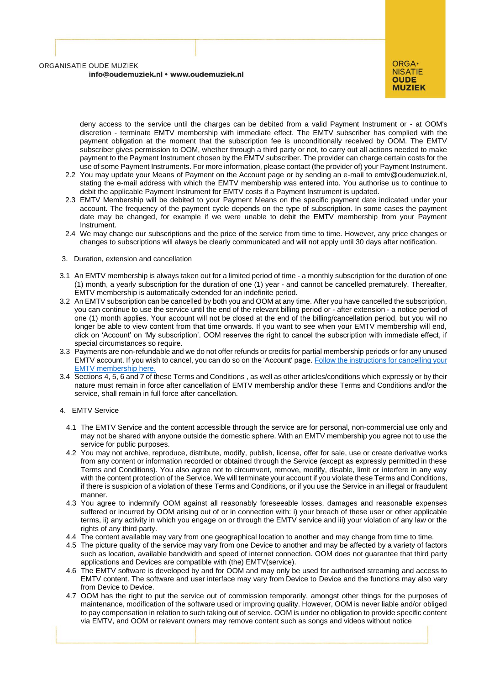

deny access to the service until the charges can be debited from a valid Payment Instrument or - at OOM's discretion - terminate EMTV membership with immediate effect. The EMTV subscriber has complied with the payment obligation at the moment that the subscription fee is unconditionally received by OOM. The EMTV subscriber gives permission to OOM, whether through a third party or not, to carry out all actions needed to make payment to the Payment Instrument chosen by the EMTV subscriber. The provider can charge certain costs for the use of some Payment Instruments. For more information, please contact (the provider of) your Payment Instrument.

- 2.2 You may update your Means of Payment on the Account page or by sending an e-mail to emtv@oudemuziek.nl, stating the e-mail address with which the EMTV membership was entered into. You authorise us to continue to debit the applicable Payment Instrument for EMTV costs if a Payment Instrument is updated.
- 2.3 EMTV Membership will be debited to your Payment Means on the specific payment date indicated under your account. The frequency of the payment cycle depends on the type of subscription. In some cases the payment date may be changed, for example if we were unable to debit the EMTV membership from your Payment Instrument.
- 2.4 We may change our subscriptions and the price of the service from time to time. However, any price changes or changes to subscriptions will always be clearly communicated and will not apply until 30 days after notification.
- 3. Duration, extension and cancellation
- 3.1 An EMTV membership is always taken out for a limited period of time a monthly subscription for the duration of one (1) month, a yearly subscription for the duration of one (1) year - and cannot be cancelled prematurely. Thereafter, EMTV membership is automatically extended for an indefinite period.
- 3.2 An EMTV subscription can be cancelled by both you and OOM at any time. After you have cancelled the subscription, you can continue to use the service until the end of the relevant billing period or - after extension - a notice period of one (1) month applies. Your account will not be closed at the end of the billing/cancellation period, but you will no longer be able to view content from that time onwards. If you want to see when your EMTV membership will end, click on 'Account' on 'My subscription'. OOM reserves the right to cancel the subscription with immediate effect, if special circumstances so require.
- 3.3 Payments are non-refundable and we do not offer refunds or credits for partial membership periods or for any unused EMTV account. If you wish to cancel, you can do so on the 'Account' page[. Follow the instructions for cancelling your](https://oudemuziek.nl/emtv/faq/betaling/)  [EMTV membership here.](https://oudemuziek.nl/emtv/faq/betaling/)
- 3.4 Sections 4, 5, 6 and 7 of these Terms and Conditions , as well as other articles/conditions which expressly or by their nature must remain in force after cancellation of EMTV membership and/or these Terms and Conditions and/or the service, shall remain in full force after cancellation.
- 4. EMTV Service
	- 4.1 The EMTV Service and the content accessible through the service are for personal, non-commercial use only and may not be shared with anyone outside the domestic sphere. With an EMTV membership you agree not to use the service for public purposes.
	- 4.2 You may not archive, reproduce, distribute, modify, publish, license, offer for sale, use or create derivative works from any content or information recorded or obtained through the Service (except as expressly permitted in these Terms and Conditions). You also agree not to circumvent, remove, modify, disable, limit or interfere in any way with the content protection of the Service. We will terminate your account if you violate these Terms and Conditions, if there is suspicion of a violation of these Terms and Conditions, or if you use the Service in an illegal or fraudulent manner.
	- 4.3 You agree to indemnify OOM against all reasonably foreseeable losses, damages and reasonable expenses suffered or incurred by OOM arising out of or in connection with: i) your breach of these user or other applicable terms, ii) any activity in which you engage on or through the EMTV service and iii) your violation of any law or the rights of any third party.
	- 4.4 The content available may vary from one geographical location to another and may change from time to time.
	- 4.5 The picture quality of the service may vary from one Device to another and may be affected by a variety of factors such as location, available bandwidth and speed of internet connection. OOM does not guarantee that third party applications and Devices are compatible with (the) EMTV(service).
	- 4.6 The EMTV software is developed by and for OOM and may only be used for authorised streaming and access to EMTV content. The software and user interface may vary from Device to Device and the functions may also vary from Device to Device.
	- 4.7 OOM has the right to put the service out of commission temporarily, amongst other things for the purposes of maintenance, modification of the software used or improving quality. However, OOM is never liable and/or obliged to pay compensation in relation to such taking out of service. OOM is under no obligation to provide specific content via EMTV, and OOM or relevant owners may remove content such as songs and videos without notice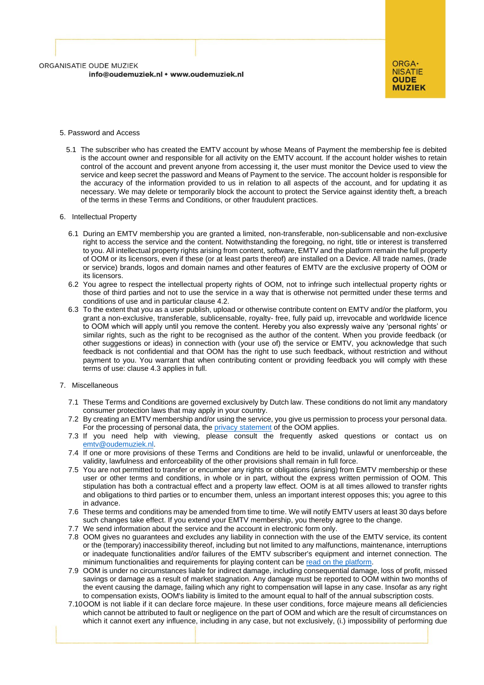

## 5. Password and Access

5.1 The subscriber who has created the EMTV account by whose Means of Payment the membership fee is debited is the account owner and responsible for all activity on the EMTV account. If the account holder wishes to retain control of the account and prevent anyone from accessing it, the user must monitor the Device used to view the service and keep secret the password and Means of Payment to the service. The account holder is responsible for the accuracy of the information provided to us in relation to all aspects of the account, and for updating it as necessary. We may delete or temporarily block the account to protect the Service against identity theft, a breach of the terms in these Terms and Conditions, or other fraudulent practices.

#### 6. Intellectual Property

- 6.1 During an EMTV membership you are granted a limited, non-transferable, non-sublicensable and non-exclusive right to access the service and the content. Notwithstanding the foregoing, no right, title or interest is transferred to you. All intellectual property rights arising from content, software, EMTV and the platform remain the full property of OOM or its licensors, even if these (or at least parts thereof) are installed on a Device. All trade names, (trade or service) brands, logos and domain names and other features of EMTV are the exclusive property of OOM or its licensors.
- 6.2 You agree to respect the intellectual property rights of OOM, not to infringe such intellectual property rights or those of third parties and not to use the service in a way that is otherwise not permitted under these terms and conditions of use and in particular clause 4.2.
- 6.3 To the extent that you as a user publish, upload or otherwise contribute content on EMTV and/or the platform, you grant a non-exclusive, transferable, sublicensable, royalty- free, fully paid up, irrevocable and worldwide licence to OOM which will apply until you remove the content. Hereby you also expressly waive any 'personal rights' or similar rights, such as the right to be recognised as the author of the content. When you provide feedback (or other suggestions or ideas) in connection with (your use of) the service or EMTV, you acknowledge that such feedback is not confidential and that OOM has the right to use such feedback, without restriction and without payment to you. You warrant that when contributing content or providing feedback you will comply with these terms of use: clause 4.3 applies in full.

#### 7. Miscellaneous

- 7.1 These Terms and Conditions are governed exclusively by Dutch law. These conditions do not limit any mandatory consumer protection laws that may apply in your country.
- 7.2 By creating an EMTV membership and/or using the service, you give us permission to process your personal data. For the processing of personal data, the *privacy* statement of the OOM applies.
- 7.3 If you need help with viewing, please consult the frequently asked questions or contact us on [emtv@oudemuziek.nl.](mailto:emtv@oudemuziek.nl)
- 7.4 If one or more provisions of these Terms and Conditions are held to be invalid, unlawful or unenforceable, the validity, lawfulness and enforceability of the other provisions shall remain in full force.
- 7.5 You are not permitted to transfer or encumber any rights or obligations (arising) from EMTV membership or these user or other terms and conditions, in whole or in part, without the express written permission of OOM. This stipulation has both a contractual effect and a property law effect. OOM is at all times allowed to transfer rights and obligations to third parties or to encumber them, unless an important interest opposes this; you agree to this in advance.
- 7.6 These terms and conditions may be amended from time to time. We will notify EMTV users at least 30 days before such changes take effect. If you extend your EMTV membership, you thereby agree to the change.
- 7.7 We send information about the service and the account in electronic form only.
- 7.8 OOM gives no guarantees and excludes any liability in connection with the use of the EMTV service, its content or the (temporary) inaccessibility thereof, including but not limited to any malfunctions, maintenance, interruptions or inadequate functionalities and/or failures of the EMTV subscriber's equipment and internet connection. The minimum functionalities and requirements for playing content can be [read on the platform.](https://oudemuziek.nl/emtv/faq/problemen-bij-het-afspelen/)
- 7.9 OOM is under no circumstances liable for indirect damage, including consequential damage, loss of profit, missed savings or damage as a result of market stagnation. Any damage must be reported to OOM within two months of the event causing the damage, failing which any right to compensation will lapse in any case. Insofar as any right to compensation exists, OOM's liability is limited to the amount equal to half of the annual subscription costs.
- 7.10OOM is not liable if it can declare force majeure. In these user conditions, force majeure means all deficiencies which cannot be attributed to fault or negligence on the part of OOM and which are the result of circumstances on which it cannot exert any influence, including in any case, but not exclusively, (i.) impossibility of performing due